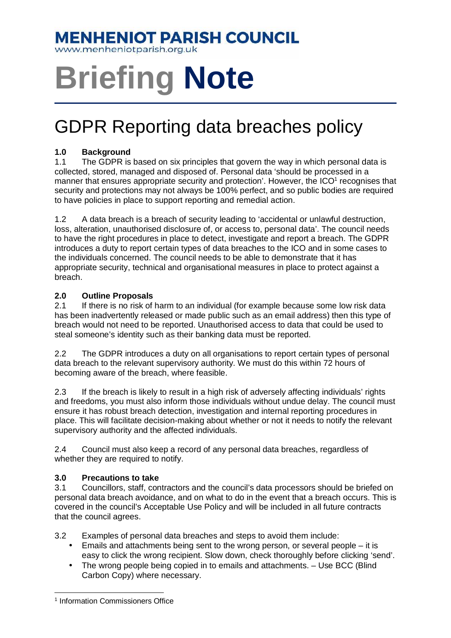### **MENHENIOT PARISH COUNCIL**

www.menheniotparish.org.uk

# **Briefing Note**

## GDPR Reporting data breaches policy

#### **1.0 Background**

1.1 The GDPR is based on six principles that govern the way in which personal data is collected, stored, managed and disposed of. Personal data 'should be processed in a manner that ensures appropriate security and protection'. However, the ICO<sup>1</sup> recognises that security and protections may not always be 100% perfect, and so public bodies are required to have policies in place to support reporting and remedial action.

1.2 A data breach is a breach of security leading to 'accidental or unlawful destruction, loss, alteration, unauthorised disclosure of, or access to, personal data'. The council needs to have the right procedures in place to detect, investigate and report a breach. The GDPR introduces a duty to report certain types of data breaches to the ICO and in some cases to the individuals concerned. The council needs to be able to demonstrate that it has appropriate security, technical and organisational measures in place to protect against a breach.

#### **2.0 Outline Proposals**

2.1 If there is no risk of harm to an individual (for example because some low risk data has been inadvertently released or made public such as an email address) then this type of breach would not need to be reported. Unauthorised access to data that could be used to steal someone's identity such as their banking data must be reported.

2.2 The GDPR introduces a duty on all organisations to report certain types of personal data breach to the relevant supervisory authority. We must do this within 72 hours of becoming aware of the breach, where feasible.

2.3 If the breach is likely to result in a high risk of adversely affecting individuals' rights and freedoms, you must also inform those individuals without undue delay. The council must ensure it has robust breach detection, investigation and internal reporting procedures in place. This will facilitate decision-making about whether or not it needs to notify the relevant supervisory authority and the affected individuals.

2.4 Council must also keep a record of any personal data breaches, regardless of whether they are required to notify.

#### **3.0 Precautions to take**

3.1 Councillors, staff, contractors and the council's data processors should be briefed on personal data breach avoidance, and on what to do in the event that a breach occurs. This is covered in the council's Acceptable Use Policy and will be included in all future contracts that the council agrees.

3.2 Examples of personal data breaches and steps to avoid them include:

- Emails and attachments being sent to the wrong person, or several people it is easy to click the wrong recipient. Slow down, check thoroughly before clicking 'send'.
- The wrong people being copied in to emails and attachments. Use BCC (Blind Carbon Copy) where necessary.

 $\overline{a}$ 

<sup>&</sup>lt;sup>1</sup> Information Commissioners Office